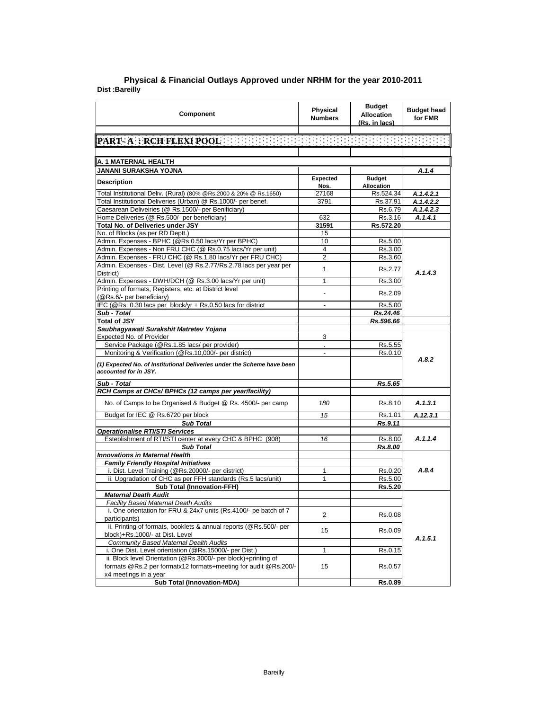## **Dist :Bareilly Physical & Financial Outlays Approved under NRHM for the year 2010-2011**

| Component                                                                                                                          | <b>Physical</b><br><b>Numbers</b> | <b>Budget</b><br><b>Allocation</b><br>(Rs. in lacs) | <b>Budget head</b><br>for FMR |  |
|------------------------------------------------------------------------------------------------------------------------------------|-----------------------------------|-----------------------------------------------------|-------------------------------|--|
|                                                                                                                                    |                                   |                                                     |                               |  |
| PART A SRCH FLEXI POOL OF THE ENDINGING IN THE ENDINGING IN THE                                                                    |                                   |                                                     |                               |  |
|                                                                                                                                    |                                   |                                                     |                               |  |
| A. 1 MATERNAL HEALTH                                                                                                               |                                   |                                                     |                               |  |
| JANANI SURAKSHA YOJNA                                                                                                              |                                   |                                                     | A.1.4                         |  |
| <b>Description</b>                                                                                                                 | Expected                          | <b>Budget</b>                                       |                               |  |
|                                                                                                                                    | Nos.                              | Allocation                                          |                               |  |
| Total Institutional Deliv. (Rural) (80% @Rs.2000 & 20% @ Rs.1650)<br>Total Institutional Deliveries (Urban) @ Rs.1000/- per benef. | 27168<br>3791                     | Rs.524.34<br>Rs.37.91                               | A.1.4.2.1<br>A.1.4.2.2        |  |
| Caesarean Deliveiries (@ Rs.1500/- per Benificiary)                                                                                |                                   | Rs.6.79                                             | A.1.4.2.3                     |  |
| Home Deliveries (@ Rs.500/- per beneficiary)                                                                                       | 632                               | Rs.3.16                                             | A.1.4.1                       |  |
| <b>Total No. of Deliveries under JSY</b>                                                                                           | 31591                             | Rs.572.20                                           |                               |  |
| No. of Blocks (as per RD Deptt.)                                                                                                   | 15                                |                                                     |                               |  |
| Admin. Expenses - BPHC (@Rs.0.50 lacs/Yr per BPHC)                                                                                 | 10                                | Rs.5.00                                             |                               |  |
| Admin. Expenses - Non FRU CHC (@ Rs.0.75 lacs/Yr per unit)                                                                         | $\overline{4}$                    | Rs.3.00                                             |                               |  |
| Admin. Expenses - FRU CHC (@ Rs.1.80 lacs/Yr per FRU CHC)                                                                          | $\overline{2}$                    | Rs.3.60                                             |                               |  |
| Admin. Expenses - Dist. Level (@ Rs.2.77/Rs.2.78 lacs per year per                                                                 | $\mathbf{1}$                      | Rs.2.77                                             |                               |  |
| District)                                                                                                                          |                                   |                                                     | A.1.4.3                       |  |
| Admin. Expenses - DWH/DCH (@ Rs.3.00 lacs/Yr per unit)                                                                             | 1                                 | Rs.3.00                                             |                               |  |
| Printing of formats, Registers, etc. at District level<br>(@Rs.6/- per beneficiary)                                                |                                   | Rs.2.09                                             |                               |  |
| IEC (@Rs. 0.30 lacs per block/yr + Rs.0.50 lacs for district                                                                       | $\blacksquare$                    | Rs.5.00                                             |                               |  |
| Sub - Total                                                                                                                        |                                   | Rs.24.46                                            |                               |  |
| <b>Total of JSY</b>                                                                                                                |                                   | Rs.596.66                                           |                               |  |
| Saubhagyawati Surakshit Matretev Yojana                                                                                            |                                   |                                                     |                               |  |
| <b>Expected No. of Provider</b>                                                                                                    | 3                                 |                                                     |                               |  |
| Service Package (@Rs.1.85 lacs/ per provider)<br>Monitoring & Verification (@Rs.10,000/- per district)                             | $\blacksquare$                    | Rs.5.55<br>Rs.0.10                                  |                               |  |
|                                                                                                                                    |                                   |                                                     | A.8.2                         |  |
| (1) Expected No. of Institutional Deliveries under the Scheme have been<br>accounted for in JSY.                                   |                                   |                                                     |                               |  |
| Sub - Total                                                                                                                        |                                   | Rs.5.65                                             |                               |  |
| RCH Camps at CHCs/ BPHCs (12 camps per year/facility)                                                                              |                                   |                                                     |                               |  |
| No. of Camps to be Organised & Budget @ Rs. 4500/- per camp                                                                        | 180                               | Rs.8.10                                             | A.1.3.1                       |  |
| Budget for IEC @ Rs.6720 per block                                                                                                 | 15                                | Rs.1.01                                             | A.12.3.1                      |  |
| <b>Sub Total</b>                                                                                                                   |                                   | Rs.9.11                                             |                               |  |
| <b>Operationalise RTI/STI Services</b>                                                                                             |                                   |                                                     |                               |  |
| Esteblishment of RTI/STI center at every CHC & BPHC (908)                                                                          | 16                                | Rs.8.00                                             | A.1.1.4                       |  |
| <b>Sub Total</b>                                                                                                                   |                                   | Rs.8.00                                             |                               |  |
| <b>Innovations in Maternal Health</b>                                                                                              |                                   |                                                     |                               |  |
| <b>Family Friendly Hospital Initiatives</b>                                                                                        |                                   |                                                     |                               |  |
| i. Dist. Level Training (@Rs.20000/- per district)                                                                                 | 1                                 | Rs.0.20                                             | A.8.4                         |  |
| ii. Upgradation of CHC as per FFH standards (Rs.5 lacs/unit)                                                                       | 1                                 | Rs.5.00                                             |                               |  |
| <b>Sub Total (Innovation-FFH)</b><br><b>Maternal Death Audit</b>                                                                   |                                   | Rs.5.20                                             |                               |  |
| Facility Based Maternal Death Audits                                                                                               |                                   |                                                     |                               |  |
| i. One orientation for FRU & 24x7 units (Rs.4100/- pe batch of 7                                                                   |                                   |                                                     |                               |  |
| participants)                                                                                                                      | 2                                 | Rs.0.08                                             |                               |  |
| ii. Printing of formats, booklets & annual reports (@Rs.500/- per                                                                  | 15                                | Rs.0.09                                             |                               |  |
| block)+Rs.1000/- at Dist. Level                                                                                                    |                                   |                                                     | A.1.5.1                       |  |
| <b>Community Based Maternal Dealth Audits</b>                                                                                      |                                   |                                                     |                               |  |
| i. One Dist. Level orientation (@Rs.15000/- per Dist.)                                                                             | 1                                 | Rs.0.15                                             |                               |  |
| ii. Block level Orientation (@Rs.3000/- per block)+printing of                                                                     |                                   |                                                     |                               |  |
| formats @Rs.2 per formatx12 formats+meeting for audit @Rs.200/-                                                                    | 15                                | Rs.0.57                                             |                               |  |
| x4 meetings in a year                                                                                                              |                                   |                                                     |                               |  |
| <b>Sub Total (Innovation-MDA)</b>                                                                                                  |                                   | <b>Rs.0.89</b>                                      |                               |  |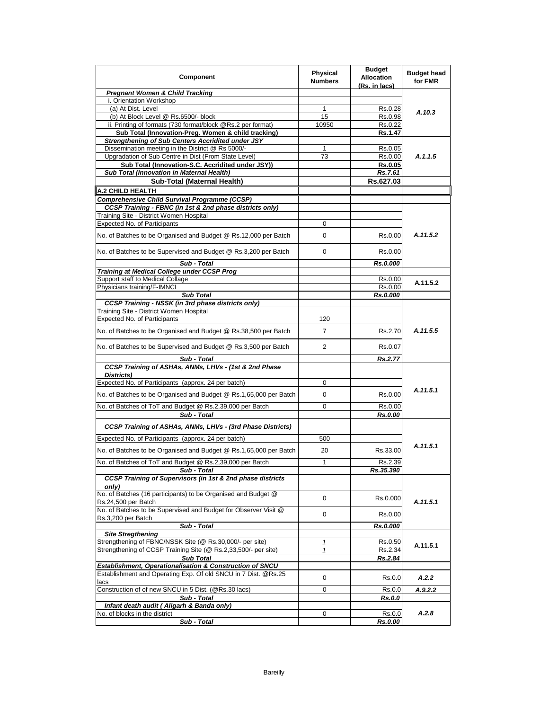| Component                                                                            | Physical<br><b>Numbers</b> | <b>Budget</b><br><b>Allocation</b><br>(Rs. in lacs) | <b>Budget head</b><br>for FMR |
|--------------------------------------------------------------------------------------|----------------------------|-----------------------------------------------------|-------------------------------|
| <b>Pregnant Women &amp; Child Tracking</b>                                           |                            |                                                     |                               |
| i. Orientation Workshop                                                              |                            |                                                     |                               |
| (a) At Dist. Level                                                                   | 1                          | Rs.0.28                                             | A.10.3                        |
| (b) At Block Level @ Rs.6500/- block                                                 | 15                         | Rs.0.98                                             |                               |
| ii. Printing of formats (730 format/block @Rs.2 per format)                          | 10950                      | Rs.0.22                                             |                               |
| Sub Total (Innovation-Preg. Women & child tracking)                                  |                            | Rs.1.47                                             |                               |
| <b>Strengthening of Sub Centers Accridited under JSY</b>                             |                            |                                                     |                               |
| Dissemination meeting in the District @ Rs 5000/-                                    | 1                          | Rs.0.05                                             |                               |
| Upgradation of Sub Centre in Dist (From State Level)                                 | 73                         | Rs.0.00                                             | A.1.1.5                       |
| Sub Total (Innovation-S.C. Accridited under JSY))                                    |                            | Rs.0.05                                             |                               |
| Sub Total (Innovation in Maternal Health)                                            |                            | Rs.7.61                                             |                               |
| Sub-Total (Maternal Health)                                                          |                            | Rs.627.03                                           |                               |
| <b>A.2 CHILD HEALTH</b>                                                              |                            |                                                     |                               |
| Comprehensive Child Survival Programme (CCSP)                                        |                            |                                                     |                               |
| CCSP Training - FBNC (in 1st & 2nd phase districts only)                             |                            |                                                     |                               |
| Training Site - District Women Hospital                                              |                            |                                                     |                               |
| <b>Expected No. of Participants</b>                                                  | 0                          |                                                     |                               |
| No. of Batches to be Organised and Budget @ Rs.12,000 per Batch                      | 0                          | Rs.0.00                                             | A.11.5.2                      |
| No. of Batches to be Supervised and Budget @ Rs.3,200 per Batch                      | 0                          | Rs.0.00                                             |                               |
| Sub - Total                                                                          |                            | Rs.0.000                                            |                               |
| Training at Medical College under CCSP Prog                                          |                            |                                                     |                               |
| Support staff to Medical Collage                                                     |                            | Rs.0.00                                             | A.11.5.2                      |
| Physicians training/F-IMNCI                                                          |                            | Rs.0.00                                             |                               |
| <b>Sub Total</b>                                                                     |                            | Rs.0.000                                            |                               |
| CCSP Training - NSSK (in 3rd phase districts only)                                   |                            |                                                     |                               |
| Training Site - District Women Hospital                                              |                            |                                                     |                               |
| <b>Expected No. of Participants</b>                                                  | 120                        |                                                     |                               |
| No. of Batches to be Organised and Budget @ Rs.38,500 per Batch                      | $\overline{7}$             | Rs.2.70                                             | A.11.5.5                      |
| No. of Batches to be Supervised and Budget @ Rs.3,500 per Batch                      | 2                          | Rs.0.07                                             |                               |
| Sub - Total                                                                          |                            | <b>Rs.2.77</b>                                      |                               |
| CCSP Training of ASHAs, ANMs, LHVs - (1st & 2nd Phase<br>Districts)                  |                            |                                                     |                               |
| Expected No. of Participants (approx. 24 per batch)                                  | 0                          |                                                     |                               |
|                                                                                      |                            |                                                     | A.11.5.1                      |
| No. of Batches to be Organised and Budget @ Rs.1,65,000 per Batch                    | 0                          | Rs.0.00                                             |                               |
| No. of Batches of ToT and Budget @ Rs.2,39,000 per Batch<br>Sub - Total              | 0                          | Rs.0.00<br>Rs.0.00                                  |                               |
| CCSP Training of ASHAs, ANMs, LHVs - (3rd Phase Districts)                           |                            |                                                     |                               |
| Expected No. of Participants (approx. 24 per batch)                                  | 500                        |                                                     |                               |
| No. of Batches to be Organised and Budget @ Rs.1,65,000 per Batch                    | 20                         | Rs.33.00                                            | A.11.5.1                      |
| No. of Batches of ToT and Budget @ Rs.2,39,000 per Batch                             | 1                          | Rs.2.39                                             |                               |
| Sub - Total                                                                          |                            | Rs.35.390                                           |                               |
| CCSP Training of Supervisors (in 1st & 2nd phase districts<br>only)                  |                            |                                                     |                               |
| No. of Batches (16 participants) to be Organised and Budget @<br>Rs.24,500 per Batch | 0                          | Rs.0.000                                            | A.11.5.1                      |
| No. of Batches to be Supervised and Budget for Observer Visit @                      | 0                          | Rs.0.00                                             |                               |
| Rs.3,200 per Batch                                                                   |                            |                                                     |                               |
| Sub - Total                                                                          |                            | Rs.0.000                                            |                               |
| <b>Site Stregthening</b>                                                             |                            |                                                     |                               |
| Strengthening of FBNC/NSSK Site (@ Rs.30,000/- per site)                             | 1                          | Rs.0.50                                             | A.11.5.1                      |
| Strengthening of CCSP Training Site (@ Rs.2,33,500/- per site)<br><b>Sub Total</b>   | 1                          | Rs.2.34<br>Rs.2.84                                  |                               |
| Establishment, Operationalisation & Construction of SNCU                             |                            |                                                     |                               |
| Establishment and Operating Exp. Of old SNCU in 7 Dist. @Rs.25                       | 0                          | Rs.0.0                                              | A.2.2                         |
| lacs<br>Construction of of new SNCU in 5 Dist. (@Rs.30 lacs)                         | $\mathbf 0$                | Rs.0.0                                              |                               |
| Sub - Total                                                                          |                            |                                                     | A.9.2.2                       |
| Infant death audit (Aligarh & Banda only)                                            |                            | Rs.0.0                                              |                               |
| No. of blocks in the district                                                        | 0                          | Rs.0.0                                              | A.2.8                         |
| Sub - Total                                                                          |                            | Rs.0.00                                             |                               |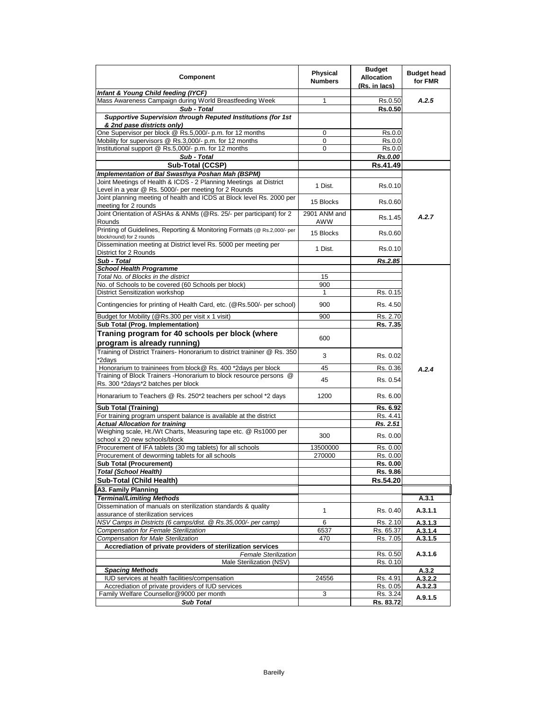| <b>Component</b>                                                                                                           | Physical<br><b>Numbers</b> | <b>Budget</b><br><b>Allocation</b><br>(Rs. in lacs) | <b>Budget head</b><br>for FMR |
|----------------------------------------------------------------------------------------------------------------------------|----------------------------|-----------------------------------------------------|-------------------------------|
| Infant & Young Child feeding (IYCF)                                                                                        |                            |                                                     |                               |
| Mass Awareness Campaign during World Breastfeeding Week                                                                    | 1                          | Rs.0.50                                             | A.2.5                         |
| Sub - Total                                                                                                                |                            | <b>Rs.0.50</b>                                      |                               |
| Supportive Supervision through Reputed Institutions (for 1st<br>& 2nd pase districts only)                                 |                            |                                                     |                               |
| One Supervisor per block @ Rs.5,000/- p.m. for 12 months                                                                   | $\mathbf 0$                | Rs.0.0                                              |                               |
| Mobility for supervisors @ Rs.3,000/- p.m. for 12 months                                                                   | 0                          | Rs.0.0                                              |                               |
| Institutional support @ Rs.5,000/- p.m. for 12 months                                                                      | 0                          | Rs.0.0                                              |                               |
| Sub - Total                                                                                                                |                            | Rs.0.00                                             |                               |
| Sub-Total (CCSP)                                                                                                           |                            | Rs.41.49                                            |                               |
| Implementation of Bal Swasthya Poshan Mah (BSPM)                                                                           |                            |                                                     |                               |
| Joint Meetings of Health & ICDS - 2 Planning Meetings at District<br>Level in a year @ Rs. 5000/- per meeting for 2 Rounds | 1 Dist.                    | Rs.0.10                                             |                               |
| Joint planning meeting of health and ICDS at Block level Rs. 2000 per                                                      |                            |                                                     |                               |
| meeting for 2 rounds                                                                                                       | 15 Blocks                  | Rs.0.60                                             |                               |
| Joint Orientation of ASHAs & ANMs (@Rs. 25/- per participant) for 2<br>Rounds                                              | 2901 ANM and<br>AWW        | Rs.1.45                                             | A.2.7                         |
| Printing of Guidelines, Reporting & Monitoring Formats (@ Rs.2,000/- per<br>block/round) for 2 rounds                      | 15 Blocks                  | Rs.0.60                                             |                               |
| Dissemination meeting at District level Rs. 5000 per meeting per<br>District for 2 Rounds                                  | 1 Dist.                    | Rs.0.10                                             |                               |
| Sub - Total                                                                                                                |                            | Rs.2.85                                             |                               |
| <b>School Health Programme</b>                                                                                             |                            |                                                     |                               |
| Total No. of Blocks in the district                                                                                        | 15                         |                                                     |                               |
| No. of Schools to be covered (60 Schools per block)                                                                        | 900                        |                                                     |                               |
| <b>District Sensitization workshop</b>                                                                                     | 1                          | Rs. 0.15                                            |                               |
| Contingencies for printing of Health Card, etc. (@Rs.500/- per school)                                                     | 900                        | Rs. 4.50                                            |                               |
| Budget for Mobility (@Rs.300 per visit x 1 visit)                                                                          | 900                        | Rs. 2.70                                            |                               |
| Sub Total (Prog. Implementation)                                                                                           |                            | Rs. 7.35                                            |                               |
| Traning program for 40 schools per block (where                                                                            |                            |                                                     |                               |
| program is already running)                                                                                                | 600                        |                                                     |                               |
| Training of District Trainers- Honorarium to district traininer @ Rs. 350<br>*2days                                        | 3                          | Rs. 0.02                                            |                               |
| Honorarium to traininees from block@ Rs. 400 *2days per block                                                              | 45                         | Rs. 0.36                                            |                               |
| Training of Block Trainers - Honorarium to block resource persons @                                                        |                            |                                                     | A.2.4                         |
| Rs. 300 *2days*2 batches per block                                                                                         | 45                         | Rs. 0.54                                            |                               |
| Honararium to Teachers @ Rs. 250*2 teachers per school *2 days                                                             | 1200                       | Rs. 6.00                                            |                               |
| <b>Sub Total (Training)</b>                                                                                                |                            | Rs. 6.92                                            |                               |
| For training program unspent balance is available at the district                                                          |                            | Rs. 4.41                                            |                               |
| <b>Actual Allocation for training</b>                                                                                      |                            | Rs. 2.51                                            |                               |
| Weighing scale, Ht./Wt Charts, Measuring tape etc. @ Rs1000 per<br>school x 20 new schools/block                           | 300                        | Rs. 0.00                                            |                               |
| Procurement of IFA tablets (30 mg tablets) for all schools                                                                 | 13500000                   | Rs. 0.00                                            |                               |
| Procurement of deworming tablets for all schools                                                                           | 270000                     | Rs. 0.00                                            |                               |
| <b>Sub Total (Procurement)</b>                                                                                             |                            | Rs. 0.00                                            |                               |
| <b>Total (School Health)</b>                                                                                               |                            | Rs. 9.86                                            |                               |
| Sub-Total (Child Health)                                                                                                   |                            | Rs.54.20                                            |                               |
| A3. Family Planning                                                                                                        |                            |                                                     |                               |
| <b>Terminal/Limiting Methods</b>                                                                                           |                            |                                                     | A.3.1                         |
| Dissemination of manuals on sterilization standards & quality                                                              |                            |                                                     |                               |
| assurance of sterilization services                                                                                        | $\mathbf{1}$               | Rs. 0.40                                            | A.3.1.1                       |
| NSV Camps in Districts (6 camps/dist. @ Rs.35,000/- per camp)<br>Compensation for Female Sterilization                     | 6                          | Rs. 2.10<br>Rs. 65.37                               | A.3.1.3                       |
| <b>Compensation for Male Sterilization</b>                                                                                 | 6537<br>470                | Rs. 7.05                                            | A.3.1.4<br>A.3.1.5            |
| Accrediation of private providers of sterilization services                                                                |                            |                                                     |                               |
| <b>Female Sterilization</b>                                                                                                |                            | Rs. 0.50                                            | A.3.1.6                       |
| Male Sterilization (NSV)                                                                                                   |                            | Rs. 0.10                                            |                               |
| <b>Spacing Methods</b>                                                                                                     |                            |                                                     | A.3.2                         |
| IUD services at health facilities/compensation                                                                             | 24556                      | Rs. 4.91                                            | A.3.2.2                       |
| Accrediation of private providers of IUD services                                                                          |                            | Rs. 0.05                                            | A.3.2.3                       |
| Family Welfare Counsellor@9000 per month                                                                                   | 3                          | Rs. 3.24                                            |                               |
| <b>Sub Total</b>                                                                                                           |                            | Rs. 83.72                                           | A.9.1.5                       |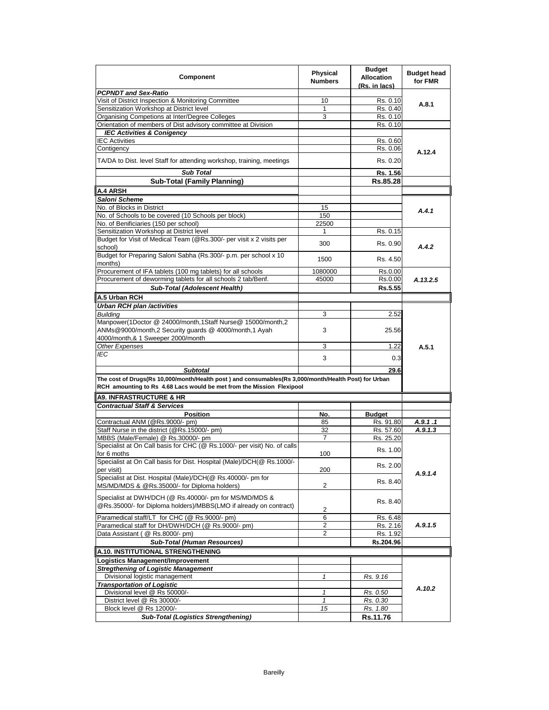| <b>Physical</b><br>Component<br><b>Allocation</b><br><b>Numbers</b><br>(Rs. in lacs)                                                                                          | <b>Budget head</b><br>for FMR |
|-------------------------------------------------------------------------------------------------------------------------------------------------------------------------------|-------------------------------|
| <b>PCPNDT and Sex-Ratio</b>                                                                                                                                                   |                               |
| Visit of District Inspection & Monitoring Committee<br>10<br>Rs. 0.10                                                                                                         | A.8.1                         |
| Sensitization Workshop at District level<br>$\mathbf{1}$<br>Rs. 0.40                                                                                                          |                               |
| Organising Competions at Inter/Degree Colleges<br>3<br>Rs. 0.10                                                                                                               |                               |
| Orientation of members of Dist advisory committee at Division<br>Rs. 0.10                                                                                                     |                               |
| <b>IEC Activities &amp; Conigency</b>                                                                                                                                         |                               |
| <b>IEC Activities</b><br>Rs. 0.60                                                                                                                                             |                               |
| Contigency<br>Rs. 0.06                                                                                                                                                        | A.12.4                        |
| TA/DA to Dist. level Staff for attending workshop, training, meetings<br>Rs. 0.20                                                                                             |                               |
| <b>Sub Total</b><br>Rs. 1.56                                                                                                                                                  |                               |
| <b>Sub-Total (Family Planning)</b><br>Rs.85.28                                                                                                                                |                               |
| A.4 ARSH                                                                                                                                                                      |                               |
| Saloni Scheme                                                                                                                                                                 |                               |
| No. of Blocks in District<br>15                                                                                                                                               | A.4.1                         |
| No. of Schools to be covered (10 Schools per block)<br>150                                                                                                                    |                               |
| No. of Benificiaries (150 per school)<br>22500                                                                                                                                |                               |
| Sensitization Workshop at District level<br>Rs. 0.15<br>1                                                                                                                     |                               |
| Budget for Visit of Medical Team (@Rs.300/- per visit x 2 visits per<br>300<br>Rs. 0.90<br>school)                                                                            | A.4.2                         |
| Budget for Preparing Saloni Sabha (Rs.300/- p.m. per school x 10<br>1500<br>Rs. 4.50<br>months)                                                                               |                               |
| Procurement of IFA tablets (100 mg tablets) for all schools<br>1080000<br>Rs.0.00                                                                                             |                               |
| Procurement of deworming tablets for all schools 2 tab/Benf.<br>45000<br>Rs.0.00                                                                                              | A.13.2.5                      |
| <b>Sub-Total (Adolescent Health)</b><br>Rs.5.55                                                                                                                               |                               |
| A.5 Urban RCH                                                                                                                                                                 |                               |
| <b>Urban RCH plan /activities</b>                                                                                                                                             |                               |
| <b>Building</b><br>2.52<br>3                                                                                                                                                  |                               |
| Manpower(1Doctor @ 24000/month,1Staff Nurse@ 15000/month,2                                                                                                                    |                               |
| ANMs@9000/month,2 Security guards @ 4000/month,1 Ayah<br>3<br>25.56                                                                                                           |                               |
| 4000/month,& 1 Sweeper 2000/month                                                                                                                                             |                               |
| 3<br>Other Expenses<br>1.22                                                                                                                                                   | A.5.1                         |
| IEC<br>3<br>0.3                                                                                                                                                               |                               |
| <b>Subtotal</b><br>29.6                                                                                                                                                       |                               |
| The cost of Drugs(Rs 10,000/month/Health post) and consumables(Rs 3,000/month/Health Post) for Urban<br>RCH amounting to Rs 4.68 Lacs would be met from the Mission Flexipool |                               |
| <b>A9. INFRASTRUCTURE &amp; HR</b>                                                                                                                                            |                               |
|                                                                                                                                                                               |                               |
| <b>Contractual Staff &amp; Services</b>                                                                                                                                       |                               |
| <b>Position</b><br>No.<br><b>Budget</b><br>Contractual ANM (@Rs.9000/- pm)<br>85<br>Rs. 91.80                                                                                 |                               |
| Staff Nurse in the district (@Rs.15000/- pm)<br>32<br>Rs. 57.60                                                                                                               | A.9.1.1<br>A.9.1.3            |
| MBBS (Male/Female) @ Rs.30000/- pm<br>$\overline{7}$<br>Rs. 25.20                                                                                                             |                               |
| Specialist at On Call basis for CHC (@ Rs.1000/- per visit) No. of calls                                                                                                      |                               |
| Rs. 1.00<br>for 6 moths<br>100                                                                                                                                                |                               |
| Specialist at On Call basis for Dist. Hospital (Male)/DCH(@ Rs.1000/-                                                                                                         |                               |
| Rs. 2.00<br>200<br>per visit)                                                                                                                                                 | A.9.1.4                       |
| Specialist at Dist. Hospital (Male)/DCH(@ Rs.40000/- pm for<br>Rs. 8.40<br>$\overline{c}$<br>MS/MD/MDS & @Rs.35000/- for Diploma holders)                                     |                               |
|                                                                                                                                                                               |                               |
| Specialist at DWH/DCH (@ Rs.40000/- pm for MS/MD/MDS &<br>Rs. 8.40<br>@Rs.35000/- for Diploma holders)/MBBS(LMO if already on contract)                                       |                               |
| $\sqrt{2}$<br>Paramedical staff/LT for CHC (@ Rs.9000/- pm)<br>6                                                                                                              |                               |
| Rs. 6.48<br>Paramedical staff for DH/DWH/DCH (@ Rs.9000/- pm)<br>2<br>Rs. 2.16                                                                                                | A.9.1.5                       |
| Data Assistant (@ Rs.8000/- pm)<br>2<br>Rs. 1.92                                                                                                                              |                               |
|                                                                                                                                                                               |                               |
| Rs.204.96<br><b>Sub-Total (Human Resources)</b>                                                                                                                               |                               |
| A.10. INSTITUTIONAL STRENGTHENING                                                                                                                                             |                               |
| Logistics Management/Improvement                                                                                                                                              |                               |
| <b>Stregthening of Logistic Management</b>                                                                                                                                    |                               |
| Divisional logistic management<br>1<br>Rs. 9.16                                                                                                                               |                               |
| <b>Transportation of Logistic</b>                                                                                                                                             | A.10.2                        |
| Divisional level @ Rs 50000/-<br>$\mathbf{1}$<br>Rs. 0.50<br>District level @ Rs 30000/-<br>$\mathbf{1}$<br>Rs. 0.30                                                          |                               |
| Block level @ Rs 12000/-<br>15<br>Rs. 1.80                                                                                                                                    |                               |
| Rs.11.76<br><b>Sub-Total (Logistics Strengthening)</b>                                                                                                                        |                               |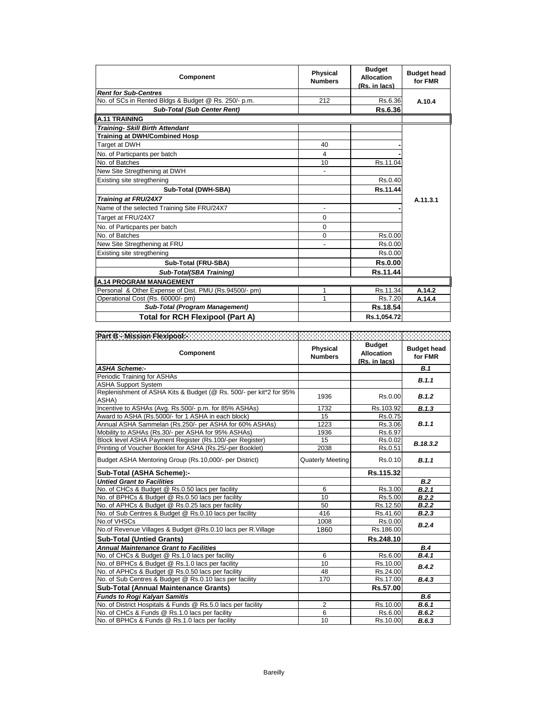| <b>Component</b>                                      | Physical<br><b>Numbers</b>   | <b>Budget</b><br><b>Allocation</b><br>(Rs. in lacs) | <b>Budget head</b><br>for FMR |
|-------------------------------------------------------|------------------------------|-----------------------------------------------------|-------------------------------|
| <b>Rent for Sub-Centres</b>                           |                              |                                                     |                               |
| No. of SCs in Rented Bldgs & Budget @ Rs. 250/- p.m.  | 212                          | Rs.6.36                                             | A.10.4                        |
| <b>Sub-Total (Sub Center Rent)</b>                    |                              | Rs.6.36                                             |                               |
| <b>A.11 TRAINING</b>                                  |                              |                                                     |                               |
| Training- Skill Birth Attendant                       |                              |                                                     |                               |
| <b>Training at DWH/Combined Hosp</b>                  |                              |                                                     |                               |
| Target at DWH                                         | 40                           |                                                     |                               |
| No. of Particpants per batch                          | 4                            |                                                     |                               |
| No. of Batches                                        | 10                           | Rs.11.04                                            |                               |
| New Site Stregthening at DWH                          | $\qquad \qquad \blacksquare$ |                                                     |                               |
| Existing site stregthening                            |                              | Rs.0.40                                             |                               |
| Sub-Total (DWH-SBA)                                   |                              | Rs.11.44                                            |                               |
| Training at FRU/24X7                                  |                              |                                                     | A.11.3.1                      |
| Name of the selected Training Site FRU/24X7           |                              |                                                     |                               |
| Target at FRU/24X7                                    | $\Omega$                     |                                                     |                               |
| No. of Particpants per batch                          | $\Omega$                     |                                                     |                               |
| No. of Batches                                        | 0                            | Rs.0.00                                             |                               |
| New Site Stregthening at FRU                          |                              | Rs.0.00                                             |                               |
| Existing site stregthening                            |                              | Rs.0.00                                             |                               |
| Sub-Total (FRU-SBA)                                   |                              | <b>Rs.0.00</b>                                      |                               |
| Sub-Total(SBA Training)                               |                              | Rs.11.44                                            |                               |
| <b>A.14 PROGRAM MANAGEMENT</b>                        |                              |                                                     |                               |
| Personal & Other Expense of Dist. PMU (Rs.94500/- pm) |                              | Rs.11.34                                            | A.14.2                        |
| Operational Cost (Rs. 60000/- pm)                     |                              | Rs.7.20                                             | A.14.4                        |
| <b>Sub-Total (Program Management)</b>                 |                              | Rs.18.54                                            |                               |
| <b>Total for RCH Flexipool (Part A)</b>               |                              | Rs.1.054.72                                         |                               |

| Part B - Mission Flexipools - Part Processing Contracts                     |                            |                                                     |                               |
|-----------------------------------------------------------------------------|----------------------------|-----------------------------------------------------|-------------------------------|
| Component                                                                   | Physical<br><b>Numbers</b> | <b>Budget</b><br><b>Allocation</b><br>(Rs. in lacs) | <b>Budget head</b><br>for FMR |
| <b>ASHA Scheme:-</b>                                                        |                            |                                                     | B.1                           |
| Periodic Training for ASHAs                                                 |                            |                                                     | B.1.1                         |
| <b>ASHA Support System</b>                                                  |                            |                                                     |                               |
| Replenishment of ASHA Kits & Budget (@ Rs. 500/- per kit*2 for 95%<br>ASHA) | 1936                       | Rs.0.00                                             | B.1.2                         |
| Incentive to ASHAs (Avg. Rs.500/- p.m. for 85% ASHAs)                       | 1732                       | Rs.103.92                                           | B.1.3                         |
| Award to ASHA (Rs.5000/- for 1 ASHA in each block)                          | 15                         | Rs.0.75                                             |                               |
| Annual ASHA Sammelan (Rs.250/- per ASHA for 60% ASHAs)                      | 1223                       | Rs.3.06                                             | B.1.1                         |
| Mobility to ASHAs (Rs.30/- per ASHA for 95% ASHAs)                          | 1936                       | Rs.6.97                                             |                               |
| Block level ASHA Payment Register (Rs.100/-per Register)                    | 15                         | Rs.0.02                                             | B.18.3.2                      |
| Printing of Voucher Booklet for ASHA (Rs.25/-per Booklet)                   | 2038                       | Rs.0.51                                             |                               |
| Budget ASHA Mentoring Group (Rs.10,000/- per District)                      | <b>Quaterly Meeting</b>    | Rs.0.10                                             | B.1.1                         |
| Sub-Total (ASHA Scheme):-                                                   |                            | Rs.115.32                                           |                               |
| <b>Untied Grant to Facilities</b>                                           |                            |                                                     | B.2                           |
| No. of CHCs & Budget @ Rs.0.50 lacs per facility                            | 6                          | Rs.3.00                                             | B.2.1                         |
| No. of BPHCs & Budget @ Rs.0.50 lacs per facility                           | 10                         | Rs.5.00                                             | B.2.2                         |
| No. of APHCs & Budget @ Rs.0.25 lacs per facility                           | 50                         | Rs.12.50                                            | B.2.2                         |
| No. of Sub Centres & Budget @ Rs.0.10 lacs per facility                     | 416                        | Rs.41.60                                            | B.2.3                         |
| No.of VHSCs                                                                 | 1008                       | Rs.0.00                                             | B.2.4                         |
| No.of Revenue Villages & Budget @Rs.0.10 lacs per R.Village                 | 1860                       | Rs.186.00                                           |                               |
| <b>Sub-Total (Untied Grants)</b>                                            |                            | Rs.248.10                                           |                               |
| <b>Annual Maintenance Grant to Facilities</b>                               |                            |                                                     | <b>B.4</b>                    |
| No. of CHCs & Budget @ Rs.1.0 lacs per facility                             | 6                          | Rs.6.00                                             | B.4.1                         |
| No. of BPHCs & Budget @ Rs.1.0 lacs per facility                            | 10                         | Rs.10.00                                            | B.4.2                         |
| No. of APHCs & Budget @ Rs.0.50 lacs per facility                           | 48                         | Rs.24.00                                            |                               |
| No. of Sub Centres & Budget @ Rs.0.10 lacs per facility                     | 170                        | Rs.17.00                                            | B.4.3                         |
| <b>Sub-Total (Annual Maintenance Grants)</b>                                |                            | Rs.57.00                                            |                               |
| <b>Funds to Rogi Kalyan Samitis</b>                                         |                            |                                                     | B.6                           |
| No. of District Hospitals & Funds @ Rs.5.0 lacs per facility                | $\overline{2}$             | Rs.10.00                                            | B.6.1                         |
| No. of CHCs & Funds @ Rs.1.0 lacs per facility                              | 6                          | Rs.6.00                                             | B.6.2                         |
| No. of BPHCs & Funds @ Rs.1.0 lacs per facility                             | 10                         | Rs.10.00                                            | B.6.3                         |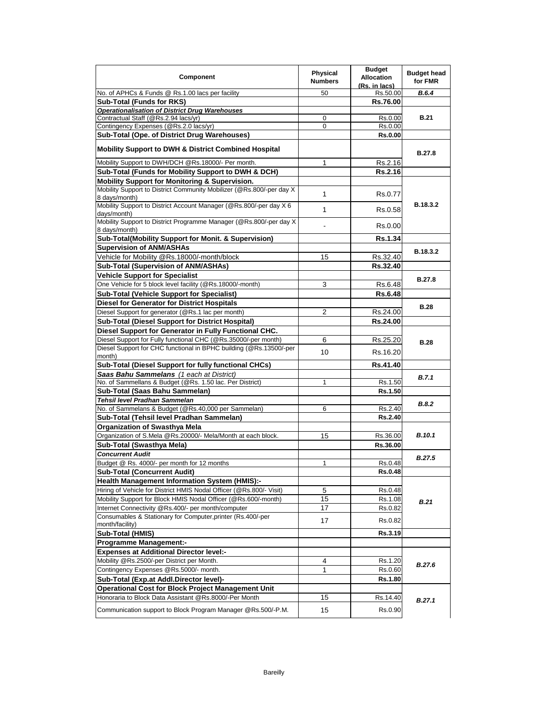| <b>Component</b>                                                                       | Physical<br><b>Numbers</b> | <b>Budget</b><br><b>Allocation</b><br>(Rs. in lacs) | <b>Budget head</b><br>for FMR |
|----------------------------------------------------------------------------------------|----------------------------|-----------------------------------------------------|-------------------------------|
| No. of APHCs & Funds @ Rs.1.00 lacs per facility                                       | 50                         | Rs.50.00                                            | B.6.4                         |
| <b>Sub-Total (Funds for RKS)</b>                                                       |                            | Rs.76.00                                            |                               |
| <b>Operationalisation of District Drug Warehouses</b>                                  |                            |                                                     |                               |
| Contractual Staff (@Rs.2.94 lacs/yr)                                                   | 0                          | Rs.0.00                                             | <b>B.21</b>                   |
| Contingency Expenses (@Rs.2.0 lacs/yr)                                                 | $\Omega$                   | Rs.0.00                                             |                               |
| Sub-Total (Ope. of District Drug Warehouses)                                           |                            | <b>Rs.0.00</b>                                      |                               |
| <b>Mobility Support to DWH &amp; District Combined Hospital</b>                        |                            |                                                     | <b>B.27.8</b>                 |
| Mobility Support to DWH/DCH @Rs.18000/- Per month.                                     | 1                          | Rs.2.16                                             |                               |
| Sub-Total (Funds for Mobility Support to DWH & DCH)                                    |                            | Rs.2.16                                             |                               |
| Mobility Support for Monitoring & Supervision.                                         |                            |                                                     |                               |
| Mobility Support to District Community Mobilizer (@Rs.800/-per day X)<br>8 days/month) | 1                          | Rs.0.77                                             | <b>B.18.3.2</b>               |
| Mobility Support to District Account Manager (@Rs.800/-per day X 6<br>days/month)      | 1                          | Rs.0.58                                             |                               |
| Mobility Support to District Programme Manager (@Rs.800/-per day X)<br>8 days/month)   |                            | Rs.0.00                                             |                               |
| Sub-Total(Mobility Support for Monit. & Supervision)                                   |                            | <b>Rs.1.34</b>                                      |                               |
| <b>Supervision of ANM/ASHAs</b>                                                        |                            |                                                     | B.18.3.2                      |
| Vehicle for Mobility @Rs.18000/-month/block                                            | 15                         | Rs.32.40                                            |                               |
| Sub-Total (Supervision of ANM/ASHAs)                                                   |                            | Rs.32.40                                            |                               |
| <b>Vehicle Support for Specialist</b>                                                  |                            |                                                     | <b>B.27.8</b>                 |
| One Vehicle for 5 block level facility (@Rs.18000/-month)                              | 3                          | Rs.6.48                                             |                               |
| <b>Sub-Total (Vehicle Support for Specialist)</b>                                      |                            | <b>Rs.6.48</b>                                      |                               |
| <b>Diesel for Generator for District Hospitals</b>                                     |                            |                                                     | <b>B.28</b>                   |
| Diesel Support for generator (@Rs.1 lac per month)                                     | 2                          | Rs.24.00                                            |                               |
| Sub-Total (Diesel Support for District Hospital)                                       |                            | Rs.24.00                                            |                               |
| Diesel Support for Generator in Fully Functional CHC.                                  |                            |                                                     |                               |
| Diesel Support for Fully functional CHC (@Rs.35000/-per month)                         | 6                          | Rs.25.20                                            | <b>B.28</b>                   |
| Diesel Support for CHC functional in BPHC building (@Rs.13500/-per<br>month)           | 10                         | Rs.16.20                                            |                               |
| Sub-Total (Diesel Support for fully functional CHCs)                                   |                            | Rs.41.40                                            |                               |
| Saas Bahu Sammelans (1 each at District)                                               |                            |                                                     | B.7.1                         |
| No. of Sammellans & Budget (@Rs. 1.50 lac. Per District)                               | 1                          | Rs.1.50                                             |                               |
| Sub-Total (Saas Bahu Sammelan)<br>Tehsil level Pradhan Sammelan                        |                            | Rs.1.50                                             |                               |
| No. of Sammelans & Budget (@Rs.40,000 per Sammelan)                                    | 6                          | Rs.2.40                                             | <b>B.8.2</b>                  |
| Sub-Total (Tehsil level Pradhan Sammelan)                                              |                            | <b>Rs.2.40</b>                                      |                               |
| Organization of Swasthya Mela                                                          |                            |                                                     |                               |
| Organization of S.Mela @Rs.20000/- Mela/Month at each block.                           | 15                         | Rs.36.00                                            | <b>B.10.1</b>                 |
| Sub-Total (Swasthya Mela)                                                              |                            | Rs.36.00                                            |                               |
| <b>Concurrent Audit</b>                                                                |                            |                                                     |                               |
| Budget @ Rs. 4000/- per month for 12 months                                            | $\mathbf{1}$               | Rs.0.48                                             | <b>B.27.5</b>                 |
| <b>Sub-Total (Concurrent Audit)</b>                                                    |                            | <b>Rs.0.48</b>                                      |                               |
| <b>Health Management Information System (HMIS):-</b>                                   |                            |                                                     |                               |
| Hiring of Vehicle for District HMIS Nodal Officer (@Rs.800/- Visit)                    | 5                          | Rs.0.48                                             |                               |
| Mobility Support for Block HMIS Nodal Officer (@Rs.600/-month)                         | 15                         | Rs.1.08                                             | B.21                          |
| Internet Connectivity @Rs.400/- per month/computer                                     | 17                         | Rs.0.82                                             |                               |
| Consumables & Stationary for Computer, printer (Rs.400/-per<br>month/facility)         | 17                         | Rs.0.82                                             |                               |
| Sub-Total (HMIS)                                                                       |                            | Rs.3.19                                             |                               |
| <b>Programme Management:-</b>                                                          |                            |                                                     |                               |
| <b>Expenses at Additional Director level:-</b>                                         |                            |                                                     |                               |
| Mobility @Rs.2500/-per District per Month.                                             | 4                          | Rs.1.20                                             | <b>B.27.6</b>                 |
| Contingency Expenses @Rs.5000/- month.                                                 | 1                          | Rs.0.60                                             |                               |
| Sub-Total (Exp.at Addl.Director level)-                                                |                            | Rs.1.80                                             |                               |
| <b>Operational Cost for Block Project Management Unit</b>                              |                            |                                                     |                               |
| Honoraria to Block Data Assistant @Rs.8000/-Per Month                                  | 15                         | Rs.14.40                                            | B.27.1                        |
| Communication support to Block Program Manager @Rs.500/-P.M.                           | 15                         | Rs.0.90                                             |                               |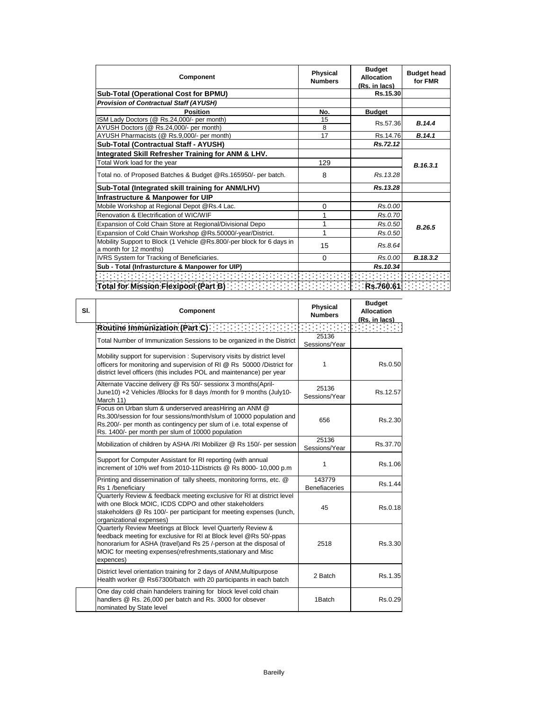| <b>Component</b>                                                                                | Physical<br><b>Numbers</b> | <b>Budget</b><br><b>Allocation</b><br>(Rs. in lacs) | <b>Budget head</b><br>for FMR |
|-------------------------------------------------------------------------------------------------|----------------------------|-----------------------------------------------------|-------------------------------|
| <b>Sub-Total (Operational Cost for BPMU)</b>                                                    |                            | Rs.15.30                                            |                               |
| <b>Provision of Contractual Staff (AYUSH)</b>                                                   |                            |                                                     |                               |
| <b>Position</b>                                                                                 | No.                        | <b>Budget</b>                                       |                               |
| ISM Lady Doctors (@ Rs.24,000/- per month)                                                      | 15                         | Rs.57.36                                            | B.14.4                        |
| AYUSH Doctors (@ Rs.24,000/- per month)                                                         | 8                          |                                                     |                               |
| AYUSH Pharmacists (@ Rs.9,000/- per month)                                                      | 17                         | Rs.14.76                                            | B.14.1                        |
| Sub-Total (Contractual Staff - AYUSH)                                                           |                            | Rs.72.12                                            |                               |
| Integrated Skill Refresher Training for ANM & LHV.                                              |                            |                                                     |                               |
| Total Work load for the year                                                                    | 129                        |                                                     | B.16.3.1                      |
| Total no. of Proposed Batches & Budget @Rs.165950/- per batch.                                  | 8                          | Rs. 13.28                                           |                               |
| Sub-Total (Integrated skill training for ANM/LHV)                                               |                            | Rs.13.28                                            |                               |
| Infrastructure & Manpower for UIP                                                               |                            |                                                     |                               |
| Mobile Workshop at Regional Depot @Rs.4 Lac.                                                    | $\Omega$                   | Rs.0.00                                             |                               |
| Renovation & Electrification of WIC/WIF                                                         |                            | Rs.0.70                                             |                               |
| Expansion of Cold Chain Store at Regional/Divisional Depo                                       | 1                          | Rs.0.50                                             | B.26.5                        |
| Expansion of Cold Chain Workshop @Rs.50000/-year/District.                                      | 1                          | Rs.0.50                                             |                               |
| Mobility Support to Block (1 Vehicle @Rs.800/-per block for 6 days in<br>a month for 12 months) | 15                         | Rs.8.64                                             |                               |
| IVRS System for Tracking of Beneficiaries.                                                      | $\Omega$                   | Rs.0.00                                             | B.18.3.2                      |
| Sub - Total (Infrasturcture & Manpower for UIP)                                                 |                            | Rs.10.34                                            |                               |
|                                                                                                 |                            |                                                     |                               |
| Total for Mission Flexipool (Part B) <b>Contact For Contact To Part Res.760.61</b>              |                            |                                                     |                               |

| SI. | Component                                                                                                                                                                                                                                                                           | <b>Physical</b><br><b>Numbers</b> | <b>Budget</b><br><b>Allocation</b><br>(Rs. in lacs) |
|-----|-------------------------------------------------------------------------------------------------------------------------------------------------------------------------------------------------------------------------------------------------------------------------------------|-----------------------------------|-----------------------------------------------------|
|     | Routine Immunization (Part C)                                                                                                                                                                                                                                                       |                                   |                                                     |
|     | Total Number of Immunization Sessions to be organized in the District                                                                                                                                                                                                               | 25136<br>Sessions/Year            |                                                     |
|     | Mobility support for supervision: Supervisory visits by district level<br>officers for monitoring and supervision of RI @ Rs 50000 /District for<br>district level officers (this includes POL and maintenance) per year                                                            | 1                                 | Rs.0.50                                             |
|     | Alternate Vaccine delivery @ Rs 50/- sessionx 3 months(April-<br>June10) +2 Vehicles /Blocks for 8 days /month for 9 months (July10-<br>March 11)                                                                                                                                   | 25136<br>Sessions/Year            | Rs.12.57                                            |
|     | Focus on Urban slum & underserved areasHiring an ANM @<br>Rs.300/session for four sessions/month/slum of 10000 population and<br>Rs.200/- per month as contingency per slum of i.e. total expense of<br>Rs. 1400/- per month per slum of 10000 population                           | 656                               | Rs.2.30                                             |
|     | Mobilization of children by ASHA /RI Mobilizer @ Rs 150/- per session                                                                                                                                                                                                               | 25136<br>Sessions/Year            | Rs.37.70                                            |
|     | Support for Computer Assistant for RI reporting (with annual<br>increment of 10% wef from 2010-11Districts @ Rs 8000- 10,000 p.m                                                                                                                                                    | 1                                 | Rs.1.06                                             |
|     | Printing and dissemination of tally sheets, monitoring forms, etc. @<br>Rs 1 /beneficiary                                                                                                                                                                                           | 143779<br><b>Benefiaceries</b>    | Rs.1.44                                             |
|     | Quarterly Review & feedback meeting exclusive for RI at district level<br>with one Block MOIC, ICDS CDPO and other stakeholders<br>stakeholders @ Rs 100/- per participant for meeting expenses (lunch,<br>organizational expenses)                                                 | 45                                | Rs.0.18                                             |
|     | Quarterly Review Meetings at Block level Quarterly Review &<br>feedback meeting for exclusive for RI at Block level @Rs 50/-ppas<br>honorarium for ASHA (travel) and Rs 25 /-person at the disposal of<br>MOIC for meeting expenses (refreshments, stationary and Misc<br>expences) | 2518                              | Rs.3.30                                             |
|     | District level orientation training for 2 days of ANM, Multipurpose<br>Health worker @ Rs67300/batch with 20 participants in each batch                                                                                                                                             | 2 Batch                           | Rs.1.35                                             |
|     | One day cold chain handelers training for block level cold chain<br>handlers @ Rs. 26,000 per batch and Rs. 3000 for obsever<br>nominated by State level                                                                                                                            | 1Batch                            | Rs.0.29                                             |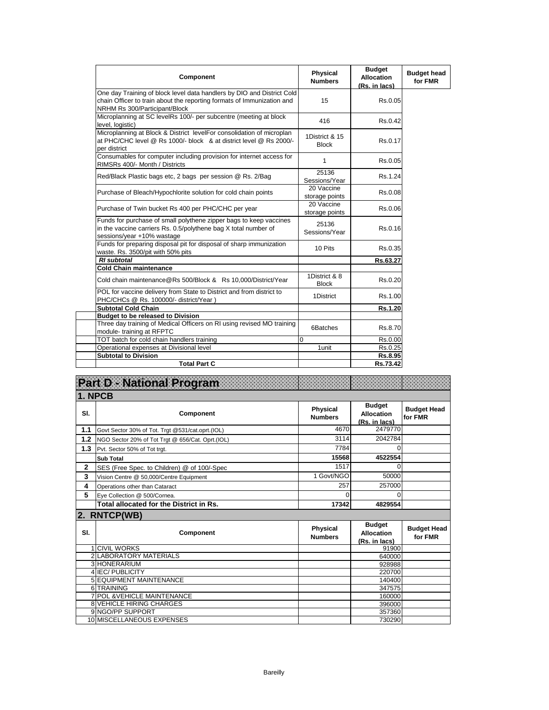| <b>Component</b>                                                                                                                                                                  | Physical<br><b>Numbers</b>     | <b>Budget</b><br><b>Allocation</b><br>(Rs. in lacs) | <b>Budget head</b><br>for FMR |
|-----------------------------------------------------------------------------------------------------------------------------------------------------------------------------------|--------------------------------|-----------------------------------------------------|-------------------------------|
| One day Training of block level data handlers by DIO and District Cold<br>chain Officer to train about the reporting formats of Immunization and<br>NRHM Rs 300/Participant/Block | 15                             | Rs.0.05                                             |                               |
| Microplanning at SC levelRs 100/- per subcentre (meeting at block<br>level, logistic)                                                                                             | 416                            | Rs.0.42                                             |                               |
| Microplanning at Block & District levelFor consolidation of microplan<br>at PHC/CHC level @ Rs 1000/- block & at district level @ Rs 2000/-<br>per district                       | 1District & 15<br><b>Block</b> | Rs.0.17                                             |                               |
| Consumables for computer including provision for internet access for<br>RIMSRs 400/- Month / Districts                                                                            | 1                              | Rs.0.05                                             |                               |
| Red/Black Plastic bags etc, 2 bags per session @ Rs. 2/Bag                                                                                                                        | 25136<br>Sessions/Year         | Rs.1.24                                             |                               |
| Purchase of Bleach/Hypochlorite solution for cold chain points                                                                                                                    | 20 Vaccine<br>storage points   | Rs.0.08                                             |                               |
| Purchase of Twin bucket Rs 400 per PHC/CHC per year                                                                                                                               | 20 Vaccine<br>storage points   | Rs.0.06                                             |                               |
| Funds for purchase of small polythene zipper bags to keep vaccines<br>in the vaccine carriers Rs. 0.5/polythene bag X total number of<br>sessions/year +10% wastage               | 25136<br>Sessions/Year         | Rs.0.16                                             |                               |
| Funds for preparing disposal pit for disposal of sharp immunization<br>waste. Rs. 3500/pit with 50% pits                                                                          | 10 Pits                        | Rs.0.35                                             |                               |
| <b>RI</b> subtotal                                                                                                                                                                |                                | Rs.63.27                                            |                               |
| <b>Cold Chain maintenance</b>                                                                                                                                                     |                                |                                                     |                               |
| Cold chain maintenance@Rs 500/Block & Rs 10,000/District/Year                                                                                                                     | 1District & 8<br><b>Block</b>  | Rs.0.20                                             |                               |
| POL for vaccine delivery from State to District and from district to<br>PHC/CHCs @ Rs. 100000/- district/Year                                                                     | 1District                      | Rs.1.00                                             |                               |
| <b>Subtotal Cold Chain</b>                                                                                                                                                        |                                | Rs.1.20                                             |                               |
| <b>Budget to be released to Division</b>                                                                                                                                          |                                |                                                     |                               |
| Three day training of Medical Officers on RI using revised MO training<br>module-training at RFPTC                                                                                | 6Batches                       | Rs.8.70                                             |                               |
| TOT batch for cold chain handlers training                                                                                                                                        | $\Omega$                       | Rs.0.00                                             |                               |
| Operational expenses at Divisional level                                                                                                                                          | 1unit                          | Rs.0.25                                             |                               |
| <b>Subtotal to Division</b>                                                                                                                                                       |                                | Rs.8.95                                             |                               |
| <b>Total Part C</b>                                                                                                                                                               |                                | Rs.73.42                                            |                               |

| Part D - National Program |                                                     |                                   |                                                     |                               |  |
|---------------------------|-----------------------------------------------------|-----------------------------------|-----------------------------------------------------|-------------------------------|--|
| 1. NPCB                   |                                                     |                                   |                                                     |                               |  |
| SI.                       | Component                                           | <b>Physical</b><br><b>Numbers</b> | <b>Budget</b><br><b>Allocation</b><br>(Rs. in lacs) | <b>Budget Head</b><br>for FMR |  |
| 1.1                       | Govt Sector 30% of Tot. Trgt @531/cat.oprt.(IOL)    | 4670                              | 2479770                                             |                               |  |
| 1.2                       | NGO Sector 20% of Tot Trgt @ 656/Cat. Oprt.(IOL)    | 3114                              | 2042784                                             |                               |  |
| 1.3                       | Pvt. Sector 50% of Tot trgt.                        | 7784                              | 0                                                   |                               |  |
|                           | <b>Sub Total</b>                                    | 15568                             | 4522554                                             |                               |  |
| $\mathbf{2}$              | SES (Free Spec. to Children) @ of 100/-Spec         | 1517                              | $\Omega$                                            |                               |  |
| 3                         | Vision Centre @ 50,000/Centre Equipment             | 1 Govt/NGO                        | 50000                                               |                               |  |
| 4                         | Operations other than Cataract                      | 257                               | 257000                                              |                               |  |
| 5                         | Eve Collection @ 500/Cornea.                        | U                                 | $\Omega$                                            |                               |  |
|                           | Total allocated for the District in Rs.             |                                   |                                                     |                               |  |
|                           |                                                     | 17342                             | 4829554                                             |                               |  |
| 2.                        | <b>RNTCP(WB)</b>                                    |                                   |                                                     |                               |  |
| SI.                       | Component                                           | <b>Physical</b><br><b>Numbers</b> | <b>Budget</b><br><b>Allocation</b>                  | <b>Budget Head</b><br>for FMR |  |
| 1                         | <b>CIVIL WORKS</b>                                  |                                   | (Rs. in lacs)<br>91900                              |                               |  |
|                           | <b>2 LABORATORY MATERIALS</b>                       |                                   | 640000                                              |                               |  |
|                           | 3 HONERARIUM                                        |                                   | 928988                                              |                               |  |
|                           | 4 IEC/PUBLICITY                                     |                                   | 220700                                              |                               |  |
|                           | <b>5 EQUIPMENT MAINTENANCE</b>                      |                                   | 140400                                              |                               |  |
|                           | 6 TRAINING                                          |                                   | 347575                                              |                               |  |
| 7                         | <b>POL &amp;VEHICLE MAINTENANCE</b>                 |                                   | 160000                                              |                               |  |
|                           | <b>8 VEHICLE HIRING CHARGES</b><br>9 NGO/PP SUPPORT |                                   | 396000<br>357360                                    |                               |  |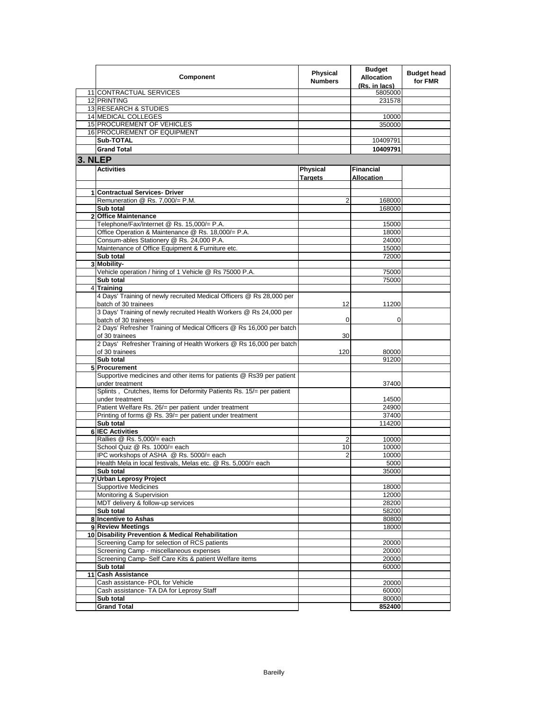|         | Component                                                                                         | <b>Physical</b><br><b>Numbers</b> | <b>Budget</b><br><b>Allocation</b><br>(Rs. in lacs) | <b>Budget head</b><br>for FMR |
|---------|---------------------------------------------------------------------------------------------------|-----------------------------------|-----------------------------------------------------|-------------------------------|
|         | 11 CONTRACTUAL SERVICES                                                                           |                                   | 5805000                                             |                               |
|         | 12 PRINTING                                                                                       |                                   | 231578                                              |                               |
|         | 13 RESEARCH & STUDIES                                                                             |                                   |                                                     |                               |
|         | 14 MEDICAL COLLEGES                                                                               |                                   | 10000                                               |                               |
|         | 15 PROCUREMENT OF VEHICLES                                                                        |                                   | 350000                                              |                               |
|         | 16 PROCUREMENT OF EQUIPMENT                                                                       |                                   |                                                     |                               |
|         | Sub-TOTAL                                                                                         |                                   | 10409791                                            |                               |
|         | <b>Grand Total</b>                                                                                |                                   | 10409791                                            |                               |
| 3. NLEP |                                                                                                   |                                   |                                                     |                               |
|         | <b>Activities</b>                                                                                 | Physical<br><b>Targets</b>        | <b>Financial</b><br><b>Allocation</b>               |                               |
|         |                                                                                                   |                                   |                                                     |                               |
|         | 1 Contractual Services- Driver                                                                    |                                   |                                                     |                               |
|         | Remuneration @ Rs. 7,000/= P.M.                                                                   | 2                                 | 168000                                              |                               |
|         | Sub total                                                                                         |                                   | 168000                                              |                               |
|         | 2 Office Maintenance                                                                              |                                   |                                                     |                               |
|         | Telephone/Fax/Internet @ Rs. 15,000/= P.A.                                                        |                                   | 15000                                               |                               |
|         | Office Operation & Maintenance @ Rs. 18,000/= P.A.                                                |                                   | 18000                                               |                               |
|         | Consum-ables Stationery @ Rs. 24,000 P.A.                                                         |                                   | 24000                                               |                               |
|         | Maintenance of Office Equipment & Furniture etc.                                                  |                                   | 15000                                               |                               |
|         | Sub total                                                                                         |                                   | 72000                                               |                               |
|         | 3 Mobility-                                                                                       |                                   |                                                     |                               |
|         | Vehicle operation / hiring of 1 Vehicle @ Rs 75000 P.A.                                           |                                   | 75000                                               |                               |
|         | Sub total<br>4 Training                                                                           |                                   | 75000                                               |                               |
|         | 4 Days' Training of newly recruited Medical Officers @ Rs 28,000 per                              |                                   |                                                     |                               |
|         | batch of 30 trainees                                                                              | 12                                | 11200                                               |                               |
|         | 3 Days' Training of newly recruited Health Workers @ Rs 24,000 per                                |                                   |                                                     |                               |
|         | batch of 30 trainees                                                                              | 0                                 | 0                                                   |                               |
|         | 2 Days' Refresher Training of Medical Officers @ Rs 16,000 per batch                              |                                   |                                                     |                               |
|         | of 30 trainees<br>2 Days' Refresher Training of Health Workers @ Rs 16,000 per batch              | 30                                |                                                     |                               |
|         | of 30 trainees                                                                                    | 120                               | 80000                                               |                               |
|         | Sub total                                                                                         |                                   | 91200                                               |                               |
|         | 5 Procurement                                                                                     |                                   |                                                     |                               |
|         | Supportive medicines and other items for patients @ Rs39 per patient                              |                                   |                                                     |                               |
|         | under treatment                                                                                   |                                   | 37400                                               |                               |
|         | Splints, Crutches, Items for Deformity Patients Rs. 15/= per patient                              |                                   |                                                     |                               |
|         | under treatment                                                                                   |                                   | 14500                                               |                               |
|         | Patient Welfare Rs. 26/= per patient under treatment                                              |                                   | 24900                                               |                               |
|         | Printing of forms @ Rs. 39/= per patient under treatment                                          |                                   | 37400                                               |                               |
|         | Sub total                                                                                         |                                   | 114200                                              |                               |
|         | <b>6 IEC Activities</b>                                                                           |                                   |                                                     |                               |
|         | Rallies @ Rs. 5,000/= each                                                                        | 2                                 | 10000                                               |                               |
|         | School Quiz @ Rs. 1000/= each                                                                     | 10                                | 10000                                               |                               |
|         | IPC workshops of ASHA @ Rs. 5000/= each                                                           | $\overline{2}$                    | 10000                                               |                               |
|         | Health Mela in local festivals, Melas etc. @ Rs. 5,000/= each                                     |                                   | 5000                                                |                               |
|         | Sub total                                                                                         |                                   | 35000                                               |                               |
|         | 7 Urban Leprosy Project                                                                           |                                   |                                                     |                               |
|         | <b>Supportive Medicines</b>                                                                       |                                   | 18000                                               |                               |
|         | Monitoring & Supervision                                                                          |                                   | 12000                                               |                               |
|         | MDT delivery & follow-up services                                                                 |                                   | 28200                                               |                               |
|         | Sub total                                                                                         |                                   | 58200                                               |                               |
|         | 8 Incentive to Ashas                                                                              |                                   | 80800                                               |                               |
|         | 9 Review Meetings                                                                                 |                                   | 18000                                               |                               |
|         | 10 Disability Prevention & Medical Rehabilitation<br>Screening Camp for selection of RCS patients |                                   |                                                     |                               |
|         | Screening Camp - miscellaneous expenses                                                           |                                   | 20000<br>20000                                      |                               |
|         | Screening Camp- Self Care Kits & patient Welfare items                                            |                                   | 20000                                               |                               |
|         | Sub total                                                                                         |                                   | 60000                                               |                               |
|         | 11 Cash Assistance                                                                                |                                   |                                                     |                               |
|         | Cash assistance- POL for Vehicle                                                                  |                                   | 20000                                               |                               |
|         | Cash assistance- TA DA for Leprosy Staff                                                          |                                   | 60000                                               |                               |
|         | Sub total                                                                                         |                                   | 80000                                               |                               |
|         | <b>Grand Total</b>                                                                                |                                   | 852400                                              |                               |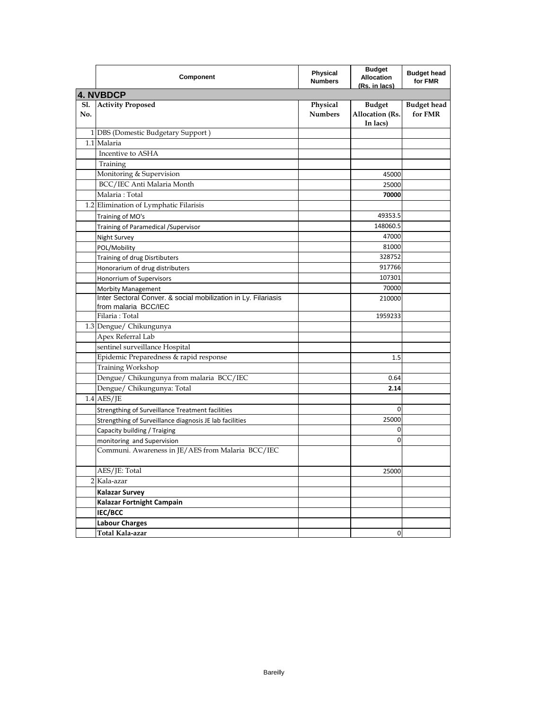|            | Component                                                                              | <b>Physical</b><br><b>Numbers</b> | <b>Budget</b><br><b>Allocation</b><br><u>(Rs. in lacs)</u> | <b>Budget head</b><br>for FMR |  |  |  |
|------------|----------------------------------------------------------------------------------------|-----------------------------------|------------------------------------------------------------|-------------------------------|--|--|--|
| 4. NVBDCP  |                                                                                        |                                   |                                                            |                               |  |  |  |
| S1.<br>No. | <b>Activity Proposed</b>                                                               | Physical<br><b>Numbers</b>        | <b>Budget</b><br><b>Allocation (Rs.</b><br>In lacs)        | <b>Budget head</b><br>for FMR |  |  |  |
|            | 1 DBS (Domestic Budgetary Support)                                                     |                                   |                                                            |                               |  |  |  |
|            | 1.1 Malaria                                                                            |                                   |                                                            |                               |  |  |  |
|            | Incentive to ASHA                                                                      |                                   |                                                            |                               |  |  |  |
|            | Training                                                                               |                                   |                                                            |                               |  |  |  |
|            | Monitoring & Supervision                                                               |                                   | 45000                                                      |                               |  |  |  |
|            | BCC/IEC Anti Malaria Month                                                             |                                   | 25000                                                      |                               |  |  |  |
|            | Malaria: Total                                                                         |                                   | 70000                                                      |                               |  |  |  |
|            | 1.2 Elimination of Lymphatic Filarisis                                                 |                                   |                                                            |                               |  |  |  |
|            | Training of MO's                                                                       |                                   | 49353.5                                                    |                               |  |  |  |
|            | Training of Paramedical / Supervisor                                                   |                                   | 148060.5                                                   |                               |  |  |  |
|            | Night Survey                                                                           |                                   | 47000                                                      |                               |  |  |  |
|            | POL/Mobility                                                                           |                                   | 81000                                                      |                               |  |  |  |
|            | Training of drug Disrtibuters                                                          |                                   | 328752                                                     |                               |  |  |  |
|            | Honorarium of drug distributers                                                        |                                   | 917766                                                     |                               |  |  |  |
|            | Honorrium of Supervisors                                                               |                                   | 107301                                                     |                               |  |  |  |
|            | <b>Morbity Management</b>                                                              |                                   | 70000                                                      |                               |  |  |  |
|            | Inter Sectoral Conver. & social mobilization in Ly. Filariasis<br>from malaria BCC/IEC |                                   | 210000                                                     |                               |  |  |  |
|            | Filaria: Total                                                                         |                                   | 1959233                                                    |                               |  |  |  |
|            | 1.3 Dengue/ Chikungunya                                                                |                                   |                                                            |                               |  |  |  |
|            | Apex Referral Lab                                                                      |                                   |                                                            |                               |  |  |  |
|            | sentinel surveillance Hospital                                                         |                                   |                                                            |                               |  |  |  |
|            | Epidemic Preparedness & rapid response                                                 |                                   | 1.5                                                        |                               |  |  |  |
|            | Training Workshop                                                                      |                                   |                                                            |                               |  |  |  |
|            | Dengue/ Chikungunya from malaria BCC/IEC                                               |                                   | 0.64                                                       |                               |  |  |  |
|            | Dengue/ Chikungunya: Total                                                             |                                   | 2.14                                                       |                               |  |  |  |
|            | $1.4$ AES/JE                                                                           |                                   |                                                            |                               |  |  |  |
|            | Strengthing of Surveillance Treatment facilities                                       |                                   | 0                                                          |                               |  |  |  |
|            | Strengthing of Surveillance diagnosis JE lab facilities                                |                                   | 25000                                                      |                               |  |  |  |
|            | Capacity building / Traiging                                                           |                                   | 0                                                          |                               |  |  |  |
|            | monitoring and Supervision                                                             |                                   | 0                                                          |                               |  |  |  |
|            | Communi. Awareness in JE/AES from Malaria BCC/IEC                                      |                                   |                                                            |                               |  |  |  |
|            | AES/JE: Total                                                                          |                                   | 25000                                                      |                               |  |  |  |
|            | 2 Kala-azar                                                                            |                                   |                                                            |                               |  |  |  |
|            | <b>Kalazar Survey</b>                                                                  |                                   |                                                            |                               |  |  |  |
|            | Kalazar Fortnight Campain                                                              |                                   |                                                            |                               |  |  |  |
|            | IEC/BCC                                                                                |                                   |                                                            |                               |  |  |  |
|            | <b>Labour Charges</b>                                                                  |                                   |                                                            |                               |  |  |  |
|            | Total Kala-azar                                                                        |                                   | 0                                                          |                               |  |  |  |